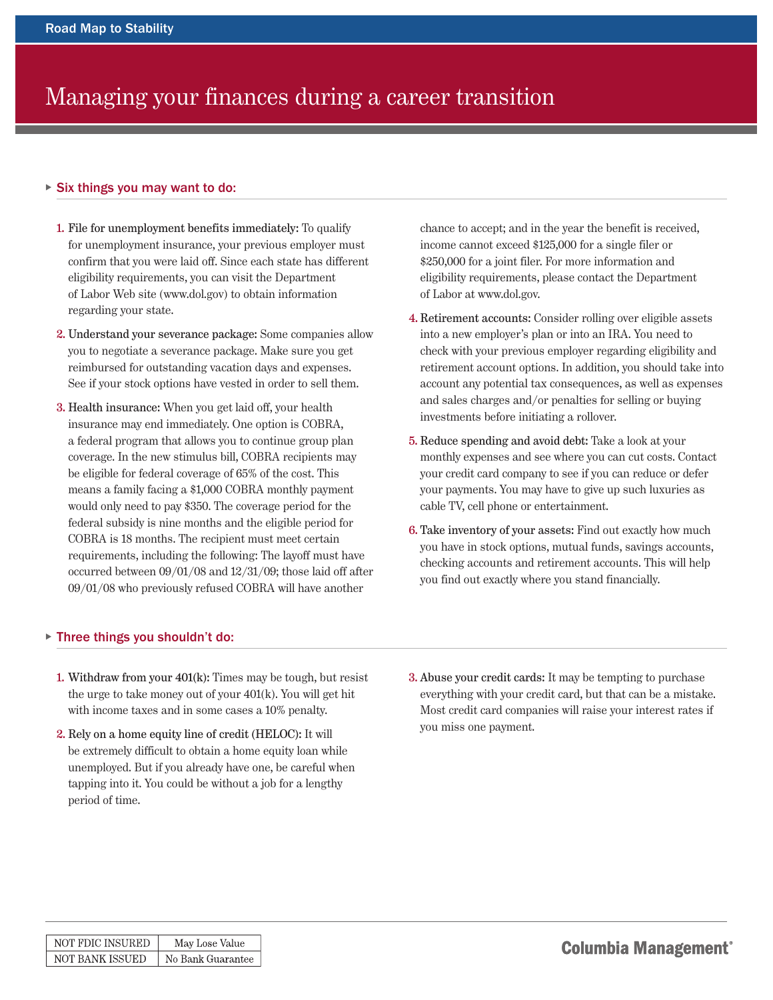## Managing your finances during a career transition

## - Six things you may want to do:

- 1. File for unemployment benefits immediately: To qualify for unemployment insurance, your previous employer must confirm that you were laid off. Since each state has different eligibility requirements, you can visit the Department of Labor Web site (www.dol.gov) to obtain information regarding your state.
- 2. Understand your severance package: Some companies allow you to negotiate a severance package. Make sure you get reimbursed for outstanding vacation days and expenses. See if your stock options have vested in order to sell them.
- 3. Health insurance: When you get laid off, your health insurance may end immediately. One option is COBRA, a federal program that allows you to continue group plan coverage. In the new stimulus bill, COBRA recipients may be eligible for federal coverage of 65% of the cost. This means a family facing a \$1,000 COBRA monthly payment would only need to pay \$350. The coverage period for the federal subsidy is nine months and the eligible period for COBRA is 18 months. The recipient must meet certain requirements, including the following: The layoff must have occurred between 09/01/08 and 12/31/09; those laid off after 09/01/08 who previously refused COBRA will have another

## - Three things you shouldn't do:

- 1. Withdraw from your 401(k): Times may be tough, but resist the urge to take money out of your 401(k). You will get hit with income taxes and in some cases a 10% penalty.
- 2. Rely on a home equity line of credit (HELOC): It will be extremely difficult to obtain a home equity loan while unemployed. But if you already have one, be careful when tapping into it. You could be without a job for a lengthy period of time.

chance to accept; and in the year the benefit is received, income cannot exceed \$125,000 for a single filer or \$250,000 for a joint filer. For more information and eligibility requirements, please contact the Department of Labor at www.dol.gov.

- 4. Retirement accounts: Consider rolling over eligible assets into a new employer's plan or into an IRA. You need to check with your previous employer regarding eligibility and retirement account options. In addition, you should take into account any potential tax consequences, as well as expenses and sales charges and/or penalties for selling or buying investments before initiating a rollover.
- 5. Reduce spending and avoid debt: Take a look at your monthly expenses and see where you can cut costs. Contact your credit card company to see if you can reduce or defer your payments. You may have to give up such luxuries as cable TV, cell phone or entertainment.
- 6. Take inventory of your assets: Find out exactly how much you have in stock options, mutual funds, savings accounts, checking accounts and retirement accounts. This will help you find out exactly where you stand financially.
- 3. Abuse your credit cards: It may be tempting to purchase everything with your credit card, but that can be a mistake. Most credit card companies will raise your interest rates if you miss one payment.

| NOT FDIC INSURED | May Lose Value    |
|------------------|-------------------|
| NOT BANK ISSUED  | No Bank Guarantee |